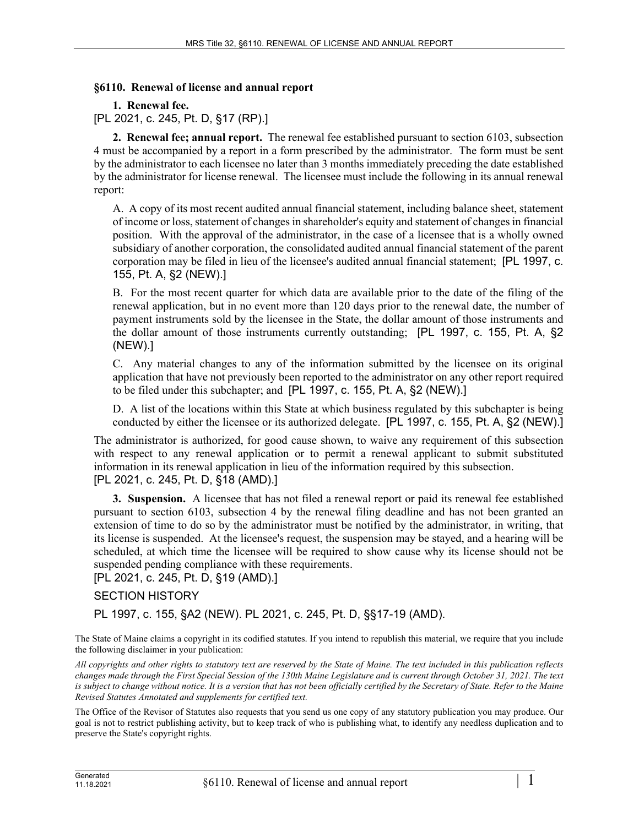## **§6110. Renewal of license and annual report**

**1. Renewal fee.** 

[PL 2021, c. 245, Pt. D, §17 (RP).]

**2. Renewal fee; annual report.** The renewal fee established pursuant to section 6103, subsection 4 must be accompanied by a report in a form prescribed by the administrator. The form must be sent by the administrator to each licensee no later than 3 months immediately preceding the date established by the administrator for license renewal. The licensee must include the following in its annual renewal report:

A. A copy of its most recent audited annual financial statement, including balance sheet, statement of income or loss, statement of changes in shareholder's equity and statement of changes in financial position. With the approval of the administrator, in the case of a licensee that is a wholly owned subsidiary of another corporation, the consolidated audited annual financial statement of the parent corporation may be filed in lieu of the licensee's audited annual financial statement; [PL 1997, c. 155, Pt. A, §2 (NEW).]

B. For the most recent quarter for which data are available prior to the date of the filing of the renewal application, but in no event more than 120 days prior to the renewal date, the number of payment instruments sold by the licensee in the State, the dollar amount of those instruments and the dollar amount of those instruments currently outstanding; [PL 1997, c. 155, Pt. A, §2 (NEW).]

C. Any material changes to any of the information submitted by the licensee on its original application that have not previously been reported to the administrator on any other report required to be filed under this subchapter; and [PL 1997, c. 155, Pt. A, §2 (NEW).]

D. A list of the locations within this State at which business regulated by this subchapter is being conducted by either the licensee or its authorized delegate. [PL 1997, c. 155, Pt. A, §2 (NEW).]

The administrator is authorized, for good cause shown, to waive any requirement of this subsection with respect to any renewal application or to permit a renewal applicant to submit substituted information in its renewal application in lieu of the information required by this subsection. [PL 2021, c. 245, Pt. D, §18 (AMD).]

**3. Suspension.** A licensee that has not filed a renewal report or paid its renewal fee established pursuant to section 6103, subsection 4 by the renewal filing deadline and has not been granted an extension of time to do so by the administrator must be notified by the administrator, in writing, that its license is suspended. At the licensee's request, the suspension may be stayed, and a hearing will be scheduled, at which time the licensee will be required to show cause why its license should not be suspended pending compliance with these requirements.

[PL 2021, c. 245, Pt. D, §19 (AMD).]

## SECTION HISTORY

PL 1997, c. 155, §A2 (NEW). PL 2021, c. 245, Pt. D, §§17-19 (AMD).

The State of Maine claims a copyright in its codified statutes. If you intend to republish this material, we require that you include the following disclaimer in your publication:

*All copyrights and other rights to statutory text are reserved by the State of Maine. The text included in this publication reflects changes made through the First Special Session of the 130th Maine Legislature and is current through October 31, 2021. The text*  is subject to change without notice. It is a version that has not been officially certified by the Secretary of State. Refer to the Maine *Revised Statutes Annotated and supplements for certified text.*

The Office of the Revisor of Statutes also requests that you send us one copy of any statutory publication you may produce. Our goal is not to restrict publishing activity, but to keep track of who is publishing what, to identify any needless duplication and to preserve the State's copyright rights.